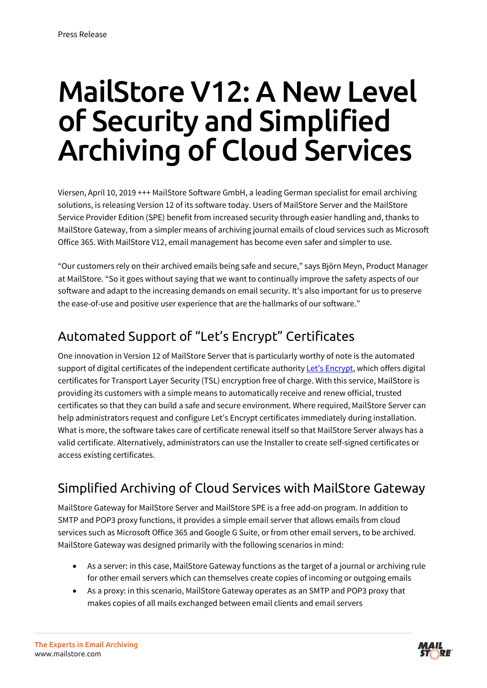# MailStore V12: A New Level of Security and Simplified Archiving of Cloud Services

Viersen, April 10, 2019 +++ MailStore Software GmbH, a leading German specialist for email archiving solutions, is releasing Version 12 of its software today. Users o[f MailStore Server](https://www.mailstore.com/en/products/mailstore-server/) and th[e MailStore](https://www.mailstore.com/de/produkte/mailstore-spe/)  [Service Provider Edition \(SPE\)](https://www.mailstore.com/de/produkte/mailstore-spe/) benefit from increased security through easier handling and, thanks to MailStore Gateway, from a simpler means of archiving journal emails of cloud services such as Microsoft Office 365. With MailStore V12, email management has become even safer and simpler to use.

"Our customers rely on their archived emails being safe and secure," says Björn Meyn, Product Manager at MailStore. "So it goes without saying that we want to continually improve the safety aspects of our software and adapt to the increasing demands on email security. It's also important for us to preserve the ease-of-use and positive user experience that are the hallmarks of our software."

#### Automated Support of "Let's Encrypt" Certificates

One innovation in Version 12 of MailStore Server that is particularly worthy of note is the automated support of digital certificates of the independent certificate authorit[y Let's Encrypt,](https://letsencrypt.org/) which offers digital certificates for Transport Layer Security (TSL) encryption free of charge. With this service, MailStore is providing its customers with a simple means to automatically receive and renew official, trusted certificates so that they can build a safe and secure environment. Where required, MailStore Server can help administrators request and configure Let's Encrypt certificates immediately during installation. What is more, the software takes care of certificate renewal itself so that MailStore Server always has a valid certificate. Alternatively, administrators can use the Installer to create self-signed certificates or access existing certificates.

#### Simplified Archiving of Cloud Services with MailStore Gateway

MailStore Gateway for MailStore Server and MailStore SPE is a free add-on program. In addition to SMTP and POP3 proxy functions, it provides a simple email server that allows emails from cloud services such as Microsoft Office 365 and Google G Suite, or from other email servers, to be archived. MailStore Gateway was designed primarily with the following scenarios in mind:

- As a server: in this case, MailStore Gateway functions as the target of a journal or archiving rule for other email servers which can themselves create copies of incoming or outgoing emails
- As a proxy: in this scenario, MailStore Gateway operates as an SMTP and POP3 proxy that makes copies of all mails exchanged between email clients and email servers

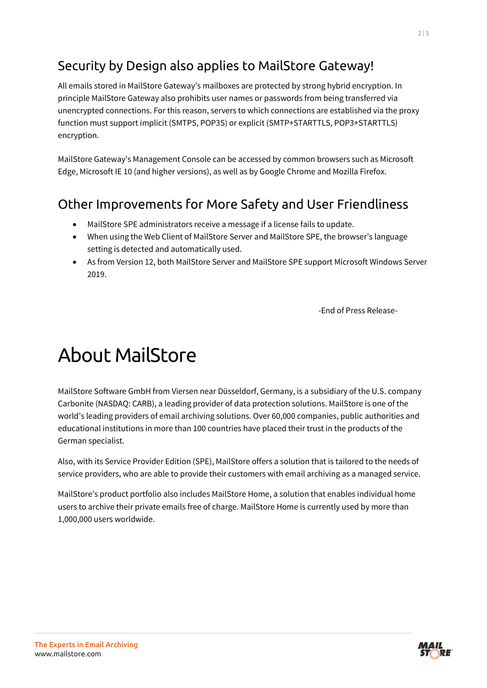#### Security by Design also applies to MailStore Gateway!

All emails stored in MailStore Gateway's mailboxes are protected by strong hybrid encryption. In principle MailStore Gateway also prohibits user names or passwords from being transferred via unencrypted connections. For this reason, servers to which connections are established via the proxy function must support implicit (SMTPS, POP3S) or explicit (SMTP+STARTTLS, POP3+STARTTLS) encryption.

MailStore Gateway's Management Console can be accessed by common browsers such as Microsoft Edge, Microsoft IE 10 (and higher versions), as well as by Google Chrome and Mozilla Firefox.

#### Other Improvements for More Safety and User Friendliness

- MailStore SPE administrators receive a message if a license fails to update.
- When using the Web Client of MailStore Server and MailStore SPE, the browser's language setting is detected and automatically used.
- As from Version 12, both MailStore Server and MailStore SPE support Microsoft Windows Server 2019.

-End of Press Release-

## About MailStore

MailStore Software GmbH from Viersen near Düsseldorf, Germany, is a subsidiary of the U.S. company Carbonite (NASDAQ: CARB), a leading provider of data protection solutions. MailStore is one of the world's leading providers of email archiving solutions. Over 60,000 companies, public authorities and educational institutions in more than 100 countries have placed their trust in the products of the German specialist.

Also, with its Service Provider Edition (SPE), MailStore offers a solution that is tailored to the needs of service providers, who are able to provide their customers with email archiving as a managed service.

MailStore's product portfolio also includes MailStore Home, a solution that enables individual home users to archive their private emails free of charge. MailStore Home is currently used by more than 1,000,000 users worldwide.